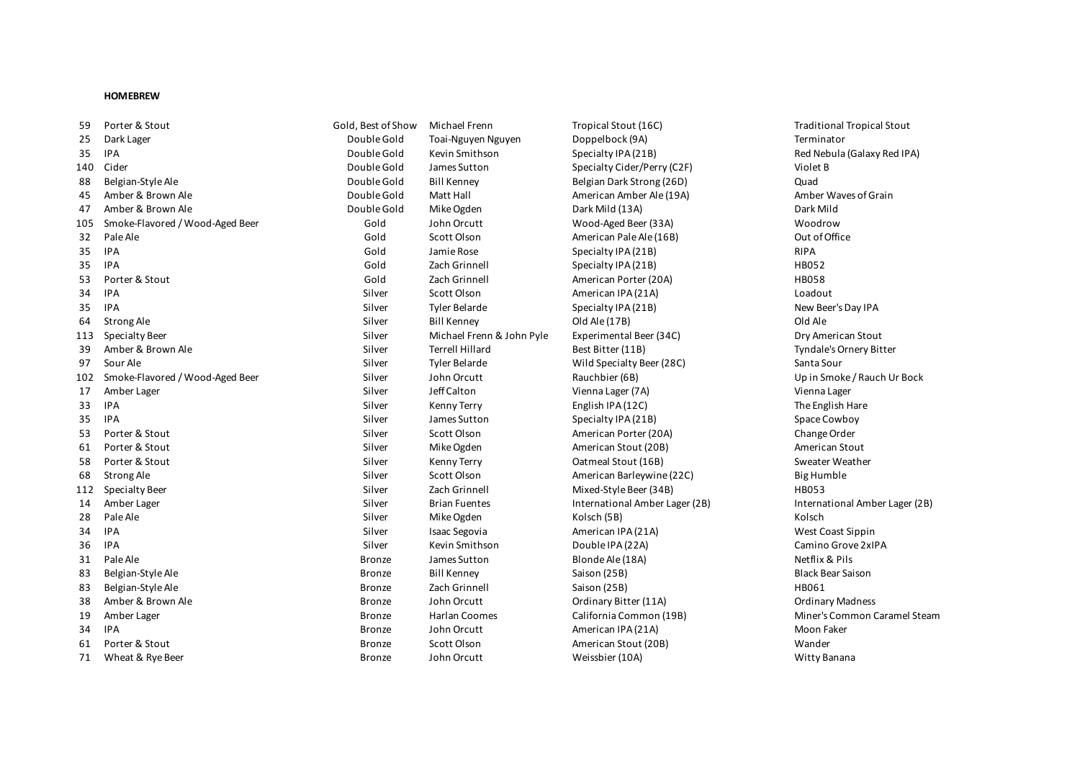## **HOMEBREW**

| 59  | Porter & Stout                  | Gold, Best of Show | Michael Frenn             | Tropical Stout (16C)           | Traditional Tropical       |
|-----|---------------------------------|--------------------|---------------------------|--------------------------------|----------------------------|
| 25  | Dark Lager                      | Double Gold        | Toai-Nguyen Nguyen        | Doppelbock (9A)                | Terminator                 |
| 35  | <b>IPA</b>                      | Double Gold        | Kevin Smithson            | Specialty IPA (21B)            | Red Nebula (Galaxy F       |
| 140 | Cider                           | Double Gold        | James Sutton              | Specialty Cider/Perry (C2F)    | Violet B                   |
| 88  | Belgian-Style Ale               | Double Gold        | <b>Bill Kenney</b>        | Belgian Dark Strong (26D)      | Quad                       |
| 45  | Amber & Brown Ale               | Double Gold        | Matt Hall                 | American Amber Ale (19A)       | Amber Waves of Grai        |
| 47  | Amber & Brown Ale               | Double Gold        | Mike Ogden                | Dark Mild (13A)                | Dark Mild                  |
| 105 | Smoke-Flavored / Wood-Aged Beer | Gold               | John Orcutt               | Wood-Aged Beer (33A)           | Woodrow                    |
| 32  | Pale Ale                        | Gold               | Scott Olson               | American Pale Ale (16B)        | Out of Office              |
| 35  | <b>IPA</b>                      | Gold               | Jamie Rose                | Specialty IPA (21B)            | <b>RIPA</b>                |
| 35  | <b>IPA</b>                      | Gold               | Zach Grinnell             | Specialty IPA (21B)            | HB052                      |
| 53  | Porter & Stout                  | Gold               | Zach Grinnell             | American Porter (20A)          | <b>HB058</b>               |
| 34  | <b>IPA</b>                      | Silver             | Scott Olson               | American IPA (21A)             | Loadout                    |
| 35  | <b>IPA</b>                      | Silver             | <b>Tyler Belarde</b>      | Specialty IPA (21B)            | New Beer's Day IPA         |
| 64  | Strong Ale                      | Silver             | <b>Bill Kenney</b>        | Old Ale (17B)                  | Old Ale                    |
| 113 | Specialty Beer                  | Silver             | Michael Frenn & John Pyle | Experimental Beer (34C)        | Dry American Stout         |
| 39  | Amber & Brown Ale               | Silver             | <b>Terrell Hillard</b>    | Best Bitter (11B)              | Tyndale's Ornery Bitt      |
| 97  | Sour Ale                        | Silver             | <b>Tyler Belarde</b>      | Wild Specialty Beer (28C)      | Santa Sour                 |
| 102 | Smoke-Flavored / Wood-Aged Beer | Silver             | John Orcutt               | Rauchbier (6B)                 | Up in Smoke / Rauch        |
| 17  | Amber Lager                     | Silver             | Jeff Calton               | Vienna Lager (7A)              | Vienna Lager               |
| 33  | IPA                             | Silver             | Kenny Terry               | English IPA (12C)              | The English Hare           |
| 35  | <b>IPA</b>                      | Silver             | James Sutton              | Specialty IPA (21B)            | Space Cowboy               |
| 53  | Porter & Stout                  | Silver             | Scott Olson               | American Porter (20A)          | Change Order               |
| 61  | Porter & Stout                  | Silver             | Mike Ogden                | American Stout (20B)           | American Stout             |
| 58  | Porter & Stout                  | Silver             | Kenny Terry               | Oatmeal Stout (16B)            | Sweater Weather            |
| 68  | Strong Ale                      | Silver             | Scott Olson               | American Barleywine (22C)      | <b>Big Humble</b>          |
| 112 | Specialty Beer                  | Silver             | Zach Grinnell             | Mixed-Style Beer (34B)         | <b>HB053</b>               |
| 14  | Amber Lager                     | Silver             | <b>Brian Fuentes</b>      | International Amber Lager (2B) | <b>International Amber</b> |
| 28  | Pale Ale                        | Silver             | Mike Ogden                | Kolsch (5B)                    | Kolsch                     |
| 34  | <b>IPA</b>                      | Silver             | <b>Isaac Segovia</b>      | American IPA (21A)             | West Coast Sippin          |
| 36  | <b>IPA</b>                      | Silver             | Kevin Smithson            | Double IPA (22A)               | Camino Grove 2xIPA         |
| 31  | Pale Ale                        | <b>Bronze</b>      | James Sutton              | Blonde Ale (18A)               | Netflix & Pils             |
| 83  | Belgian-Style Ale               | <b>Bronze</b>      | <b>Bill Kenney</b>        | Saison (25B)                   | <b>Black Bear Saison</b>   |
| 83  | Belgian-Style Ale               | <b>Bronze</b>      | Zach Grinnell             | Saison (25B)                   | HB061                      |
| 38  | Amber & Brown Ale               | <b>Bronze</b>      | John Orcutt               | Ordinary Bitter (11A)          | <b>Ordinary Madness</b>    |
| 19  | Amber Lager                     | <b>Bronze</b>      | Harlan Coomes             | California Common (19B)        | Miner's Common Car         |
| 34  | <b>IPA</b>                      | <b>Bronze</b>      | John Orcutt               | American IPA (21A)             | Moon Faker                 |
| 61  | Porter & Stout                  | <b>Bronze</b>      | Scott Olson               | American Stout (20B)           | Wander                     |
| 71  | Wheat & Rye Beer                | Bronze             | John Orcutt               | Weissbier (10A)                | Witty Banana               |

25 Dark Lager Double Gold Toai-Nguyen Nguyen Doppelbock (9A) Terminator 35 IPA Double Gold Kevin Smithson Specialty IPA (21B) Red Nebula (Galaxy Red IPA) 140 Cider Double Gold James Sutton Specialty Cider/Perry (C2F) Violet B Belgian Dark Strong (26D) Double Gold Bill Kenney Belgian Dark Strong (26D) Cuad 45 Amber & Brown Ale Double Gold Matt Hall American Amber Ale (19A) Amber Waves of Grain 105 Smoke-Flavored / Wood-Aged Beer Gold John Orcutt Wood-Aged Beer (33A) Woodrow 32 Gold Scott Olson **322 American Pale Ale (16B)** Out of Office 35 IPA Gold Zach Grinnell Specialty IPA (21B) HB052 53 Porter & Stout Gold Zach Grinnell American Porter (20A) HB058 Silver Scott Olson **American IPA (21A)** Loadout 113 Silver Michael Frenn & John Pyle Experimental Beer (34C) Bry American Stout Silver Terrell Hillard Best Bitter (11B) Best Bitter (119) Tyndale's Ornery Bitter Silver Tyler Belarde North Conservative Beer (28C) Santa Sour Silver Scott Olson **American Porter (20A)** Change Order Silver Mike Ogden American Stout (20B) American Stout (20B) Silver Kenny Terry **Catmeal Stout (16B)** Sweater Weather Silver Scott Olson **American Barleywine (22C)** Big Humble 112 Specialty Beer Silver Zach Grinnell Mixed-Style Beer (34B) HB053 Silver Isaac Segovia **American IPA (21A)** West Coast Sippin Bronze John Orcutt Credinary Bitter (11A) Cromatic Credinary Madness Bronze John Orcutt **American IPA (21A)** Moon Faker 61 Porter & Stout Bronze Scott Olson American Stout (20B) Wander

102 Silver John Orcutt 2022 Rauchbier (6B) Silver Silver Silver Silver Silver Silver Silver Silver Silver Silver Silver Silver Silver Silver Silver Silver Silver Silver Silver Silver Silver Silver Silver Silver Silver Silv 14 Amber Lager Silver Brian Fuentes International Amber Lager (2B) International Amber Lager (2B) 19 Amber Lager Bronze Harlan Coomes California Common (19B) Miner's Common Caramel Steam